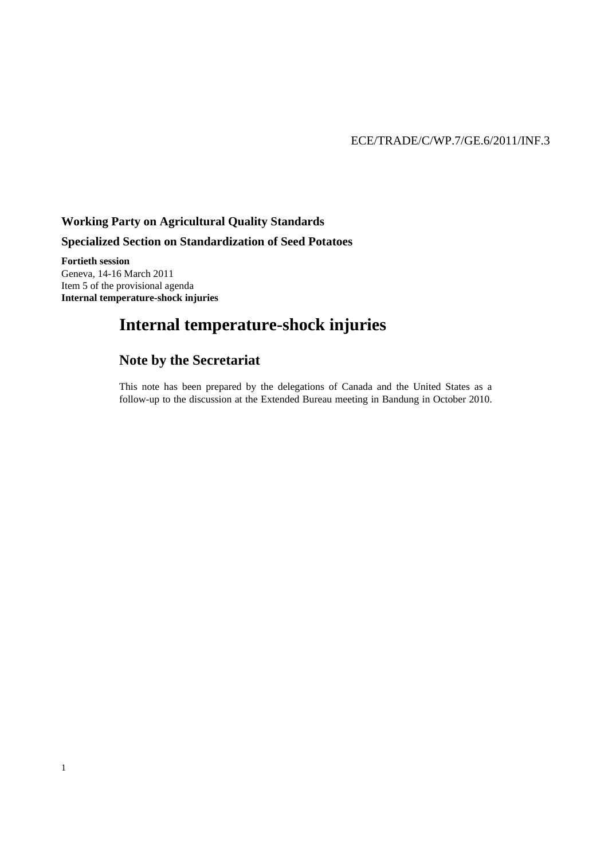## **Working Party on Agricultural Quality Standards**

## **Specialized Section on Standardization of Seed Potatoes**

**Fortieth session**  Geneva, 14-16 March 2011 Item 5 of the provisional agenda **Internal temperature-shock injuries** 

1

# **Internal temperature-shock injuries**

## **Note by the Secretariat**

This note has been prepared by the delegations of Canada and the United States as a follow-up to the discussion at the Extended Bureau meeting in Bandung in October 2010.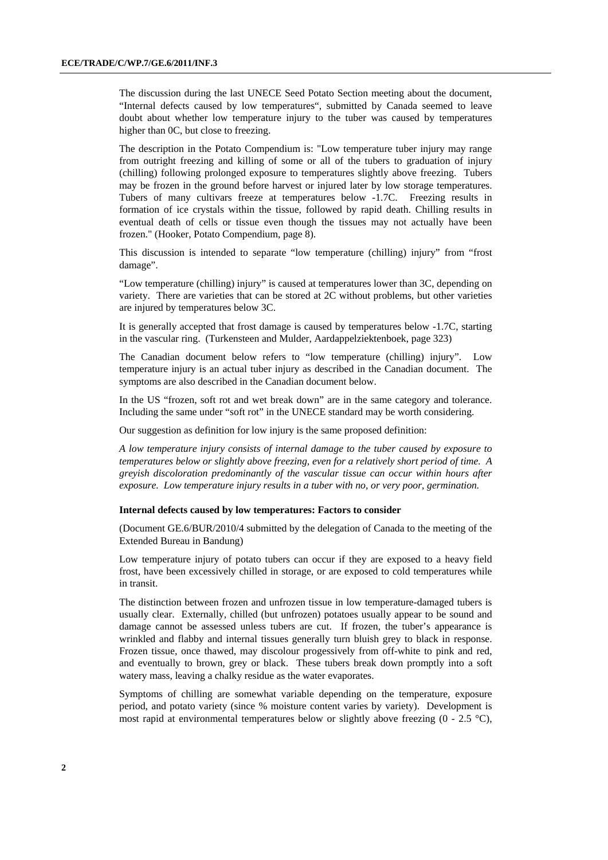The discussion during the last UNECE Seed Potato Section meeting about the document, "Internal defects caused by low temperatures", submitted by Canada seemed to leave doubt about whether low temperature injury to the tuber was caused by temperatures higher than 0C, but close to freezing.

The description in the Potato Compendium is: "Low temperature tuber injury may range from outright freezing and killing of some or all of the tubers to graduation of injury (chilling) following prolonged exposure to temperatures slightly above freezing. Tubers may be frozen in the ground before harvest or injured later by low storage temperatures. Tubers of many cultivars freeze at temperatures below -1.7C. Freezing results in formation of ice crystals within the tissue, followed by rapid death. Chilling results in eventual death of cells or tissue even though the tissues may not actually have been frozen." (Hooker, Potato Compendium, page 8).

This discussion is intended to separate "low temperature (chilling) injury" from "frost damage".

"Low temperature (chilling) injury" is caused at temperatures lower than 3C, depending on variety. There are varieties that can be stored at 2C without problems, but other varieties are injured by temperatures below 3C.

It is generally accepted that frost damage is caused by temperatures below -1.7C, starting in the vascular ring. (Turkensteen and Mulder, Aardappelziektenboek, page 323)

The Canadian document below refers to "low temperature (chilling) injury". Low temperature injury is an actual tuber injury as described in the Canadian document. The symptoms are also described in the Canadian document below.

In the US "frozen, soft rot and wet break down" are in the same category and tolerance. Including the same under "soft rot" in the UNECE standard may be worth considering.

Our suggestion as definition for low injury is the same proposed definition:

*A low temperature injury consists of internal damage to the tuber caused by exposure to temperatures below or slightly above freezing, even for a relatively short period of time. A greyish discoloration predominantly of the vascular tissue can occur within hours after exposure. Low temperature injury results in a tuber with no, or very poor, germination.* 

#### **Internal defects caused by low temperatures: Factors to consider**

(Document GE.6/BUR/2010/4 submitted by the delegation of Canada to the meeting of the Extended Bureau in Bandung)

Low temperature injury of potato tubers can occur if they are exposed to a heavy field frost, have been excessively chilled in storage, or are exposed to cold temperatures while in transit.

The distinction between frozen and unfrozen tissue in low temperature-damaged tubers is usually clear. Externally, chilled (but unfrozen) potatoes usually appear to be sound and damage cannot be assessed unless tubers are cut. If frozen, the tuber's appearance is wrinkled and flabby and internal tissues generally turn bluish grey to black in response. Frozen tissue, once thawed, may discolour progessively from off-white to pink and red, and eventually to brown, grey or black. These tubers break down promptly into a soft watery mass, leaving a chalky residue as the water evaporates.

Symptoms of chilling are somewhat variable depending on the temperature, exposure period, and potato variety (since % moisture content varies by variety). Development is most rapid at environmental temperatures below or slightly above freezing  $(0 - 2.5 \degree C)$ ,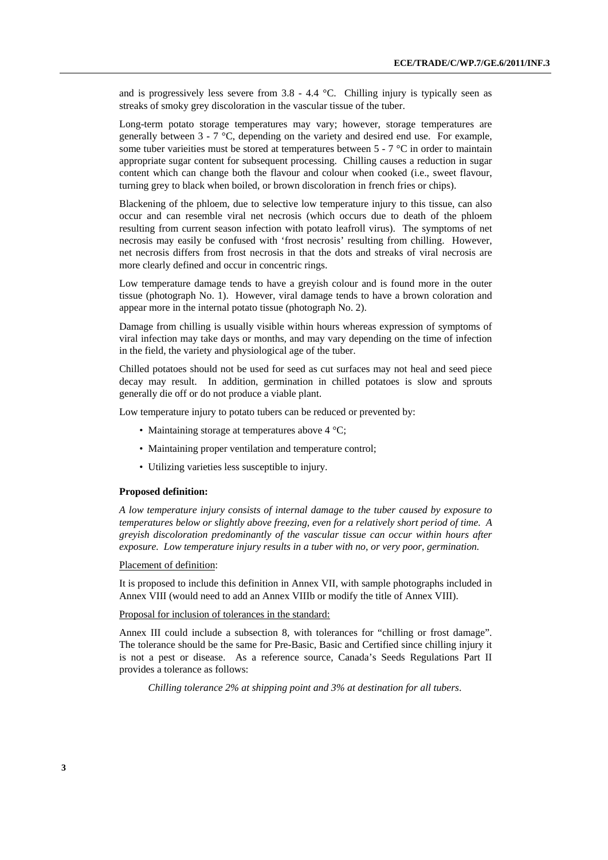and is progressively less severe from  $3.8 - 4.4$  °C. Chilling injury is typically seen as streaks of smoky grey discoloration in the vascular tissue of the tuber.

Long-term potato storage temperatures may vary; however, storage temperatures are generally between 3 - 7 °C, depending on the variety and desired end use. For example, some tuber varieities must be stored at temperatures between  $5 - 7$  °C in order to maintain appropriate sugar content for subsequent processing. Chilling causes a reduction in sugar content which can change both the flavour and colour when cooked (i.e., sweet flavour, turning grey to black when boiled, or brown discoloration in french fries or chips).

Blackening of the phloem, due to selective low temperature injury to this tissue, can also occur and can resemble viral net necrosis (which occurs due to death of the phloem resulting from current season infection with potato leafroll virus). The symptoms of net necrosis may easily be confused with 'frost necrosis' resulting from chilling. However, net necrosis differs from frost necrosis in that the dots and streaks of viral necrosis are more clearly defined and occur in concentric rings.

Low temperature damage tends to have a greyish colour and is found more in the outer tissue (photograph No. 1). However, viral damage tends to have a brown coloration and appear more in the internal potato tissue (photograph No. 2).

Damage from chilling is usually visible within hours whereas expression of symptoms of viral infection may take days or months, and may vary depending on the time of infection in the field, the variety and physiological age of the tuber.

Chilled potatoes should not be used for seed as cut surfaces may not heal and seed piece decay may result. In addition, germination in chilled potatoes is slow and sprouts generally die off or do not produce a viable plant.

Low temperature injury to potato tubers can be reduced or prevented by:

- Maintaining storage at temperatures above 4 °C;
- Maintaining proper ventilation and temperature control;
- Utilizing varieties less susceptible to injury.

#### **Proposed definition:**

*A low temperature injury consists of internal damage to the tuber caused by exposure to temperatures below or slightly above freezing, even for a relatively short period of time. A greyish discoloration predominantly of the vascular tissue can occur within hours after exposure. Low temperature injury results in a tuber with no, or very poor, germination.* 

#### Placement of definition:

It is proposed to include this definition in Annex VII, with sample photographs included in Annex VIII (would need to add an Annex VIIIb or modify the title of Annex VIII).

#### Proposal for inclusion of tolerances in the standard:

Annex III could include a subsection 8, with tolerances for "chilling or frost damage". The tolerance should be the same for Pre-Basic, Basic and Certified since chilling injury it is not a pest or disease. As a reference source, Canada's Seeds Regulations Part II provides a tolerance as follows:

 *Chilling tolerance 2% at shipping point and 3% at destination for all tubers*.